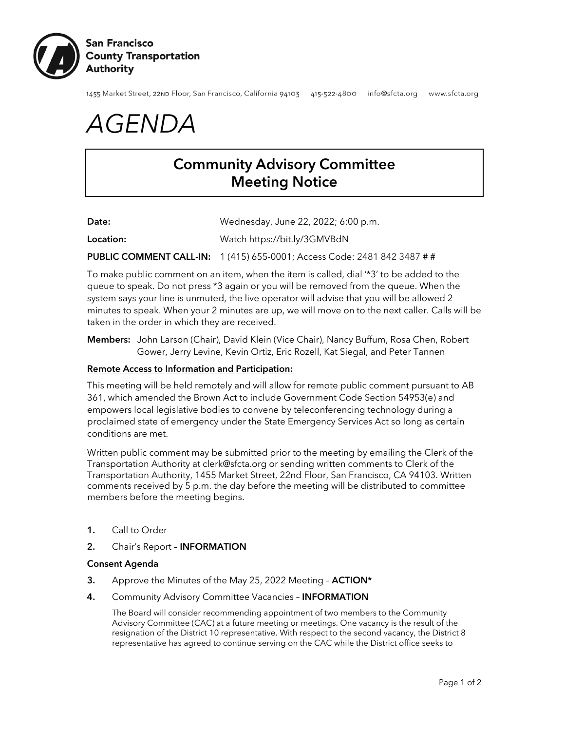

1455 Market Street, 22nD Floor, San Francisco, California 94103 415-522-4800 info@sfcta.org www.sfcta.org

*AGENDA*

# Community Advisory Committee Meeting Notice

| Wednesday, June 22, 2022; 6:00 p.m.<br>Date: |  |
|----------------------------------------------|--|
|----------------------------------------------|--|

Location: Watch https://bit.ly/3GMVBdN

PUBLIC COMMENT CALL-IN: 1 (415) 655-0001; Access Code: 2481 842 3487 # #

To make public comment on an item, when the item is called, dial '\*3' to be added to the queue to speak. Do not press \*3 again or you will be removed from the queue. When the system says your line is unmuted, the live operator will advise that you will be allowed 2 minutes to speak. When your 2 minutes are up, we will move on to the next caller. Calls will be taken in the order in which they are received.

Members: John Larson (Chair), David Klein (Vice Chair), Nancy Buffum, Rosa Chen, Robert Gower, Jerry Levine, Kevin Ortiz, Eric Rozell, Kat Siegal, and Peter Tannen

## Remote Access to Information and Participation:

This meeting will be held remotely and will allow for remote public comment pursuant to AB 361, which amended the Brown Act to include Government Code Section 54953(e) and empowers local legislative bodies to convene by teleconferencing technology during a proclaimed state of emergency under the State Emergency Services Act so long as certain conditions are met.

Written public comment may be submitted prior to the meeting by emailing the Clerk of the Transportation Authority at [clerk@sfcta.org](mailto:clerk@sfcta.org) or sending written comments to Clerk of the Transportation Authority, 1455 Market Street, 22nd Floor, San Francisco, CA 94103. Written comments received by 5 p.m. the day before the meeting will be distributed to committee members before the meeting begins.

- 1. Call to Order
- 2. Chair's Report INFORMATION

#### Consent Agenda

- 3. Approve the Minutes of the May 25, 2022 Meeting ACTION\*
- 4. Community Advisory Committee Vacancies **INFORMATION**

The Board will consider recommending appointment of two members to the Community Advisory Committee (CAC) at a future meeting or meetings. One vacancy is the result of the resignation of the District 10 representative. With respect to the second vacancy, the District 8 representative has agreed to continue serving on the CAC while the District office seeks to